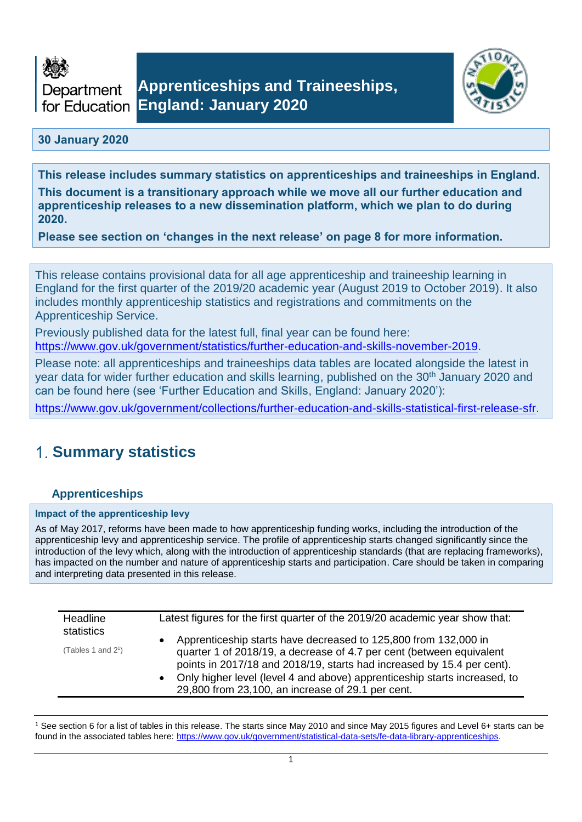



## **30 January 2020**

**This release includes summary statistics on apprenticeships and traineeships in England. This document is a transitionary approach while we move all our further education and apprenticeship releases to a new dissemination platform, which we plan to do during 2020.** 

**Please see section on 'changes in the next release' on page 8 for more information.**

This release contains provisional data for all age apprenticeship and traineeship learning in England for the first quarter of the 2019/20 academic year (August 2019 to October 2019). It also includes monthly apprenticeship statistics and registrations and commitments on the Apprenticeship Service.

Previously published data for the latest full, final year can be found here: [https://www.gov.uk/government/statistics/further-education-and-skills-november-2019.](https://www.gov.uk/government/statistics/further-education-and-skills-november-2019)

Please note: all apprenticeships and traineeships data tables are located alongside the latest in year data for wider further education and skills learning, published on the 30<sup>th</sup> January 2020 and can be found here (see 'Further Education and Skills, England: January 2020'):

[https://www.gov.uk/government/collections/further-education-and-skills-statistical-first-release-sfr.](https://www.gov.uk/government/collections/further-education-and-skills-statistical-first-release-sfr)

## **Summary statistics**

## **Apprenticeships**

#### **Impact of the apprenticeship levy**

As of May 2017, reforms have been made to how apprenticeship funding works, including the introduction of the apprenticeship levy and apprenticeship service. The profile of apprenticeship starts changed significantly since the introduction of the levy which, along with the introduction of apprenticeship standards (that are replacing frameworks), has impacted on the number and nature of apprenticeship starts and participation. Care should be taken in comparing and interpreting data presented in this release.

| statistics<br>(Tables 1 and $2^1$ ) | Apprenticeship starts have decreased to 125,800 from 132,000 in                                                                                                                                                                                                                  |
|-------------------------------------|----------------------------------------------------------------------------------------------------------------------------------------------------------------------------------------------------------------------------------------------------------------------------------|
|                                     | quarter 1 of 2018/19, a decrease of 4.7 per cent (between equivalent<br>points in 2017/18 and 2018/19, starts had increased by 15.4 per cent).<br>Only higher level (level 4 and above) apprenticeship starts increased, to<br>29,800 from 23,100, an increase of 29.1 per cent. |

<sup>1</sup> See section 6 for a list of tables in this release. The starts since May 2010 and since May 2015 figures and Level 6+ starts can be found in the associated tables here[: https://www.gov.uk/government/statistical-data-sets/fe-data-library-apprenticeships.](https://www.gov.uk/government/statistical-data-sets/fe-data-library-apprenticeships)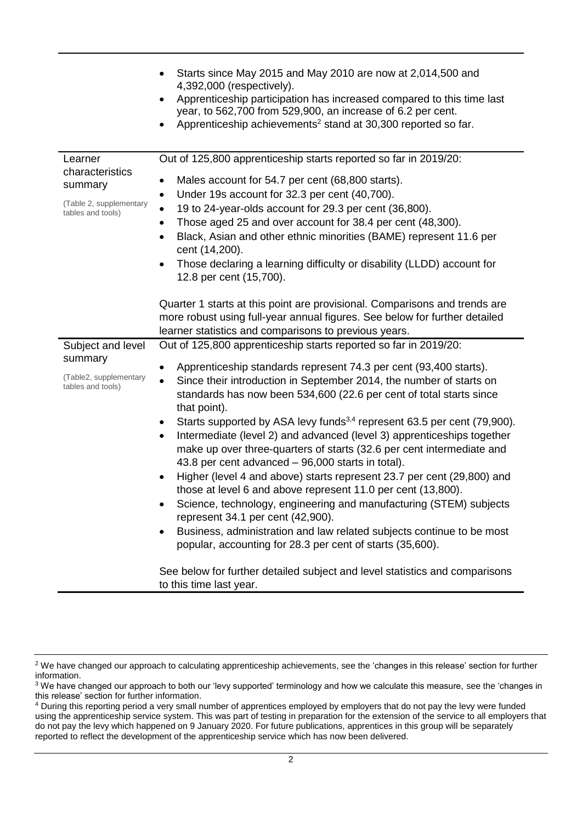|                                                         | Starts since May 2015 and May 2010 are now at 2,014,500 and<br>4,392,000 (respectively).<br>Apprenticeship participation has increased compared to this time last<br>$\bullet$<br>year, to 562,700 from 529,900, an increase of 6.2 per cent.<br>Apprenticeship achievements <sup>2</sup> stand at 30,300 reported so far.                                                                                                                                                                                                                                                                                                                                                                                                                                                                                                                                                                                                                                                         |
|---------------------------------------------------------|------------------------------------------------------------------------------------------------------------------------------------------------------------------------------------------------------------------------------------------------------------------------------------------------------------------------------------------------------------------------------------------------------------------------------------------------------------------------------------------------------------------------------------------------------------------------------------------------------------------------------------------------------------------------------------------------------------------------------------------------------------------------------------------------------------------------------------------------------------------------------------------------------------------------------------------------------------------------------------|
| Learner<br>characteristics                              | Out of 125,800 apprenticeship starts reported so far in 2019/20:                                                                                                                                                                                                                                                                                                                                                                                                                                                                                                                                                                                                                                                                                                                                                                                                                                                                                                                   |
| summary<br>(Table 2, supplementary<br>tables and tools) | Males account for 54.7 per cent (68,800 starts).<br>٠<br>Under 19s account for 32.3 per cent (40,700).<br>٠<br>19 to 24-year-olds account for 29.3 per cent (36,800).<br>Those aged 25 and over account for 38.4 per cent (48,300).<br>Black, Asian and other ethnic minorities (BAME) represent 11.6 per<br>$\bullet$<br>cent (14,200).<br>Those declaring a learning difficulty or disability (LLDD) account for<br>٠<br>12.8 per cent (15,700).                                                                                                                                                                                                                                                                                                                                                                                                                                                                                                                                 |
|                                                         | Quarter 1 starts at this point are provisional. Comparisons and trends are<br>more robust using full-year annual figures. See below for further detailed<br>learner statistics and comparisons to previous years.                                                                                                                                                                                                                                                                                                                                                                                                                                                                                                                                                                                                                                                                                                                                                                  |
| Subject and level                                       | Out of 125,800 apprenticeship starts reported so far in 2019/20:                                                                                                                                                                                                                                                                                                                                                                                                                                                                                                                                                                                                                                                                                                                                                                                                                                                                                                                   |
| summary<br>(Table2, supplementary<br>tables and tools)  | Apprenticeship standards represent 74.3 per cent (93,400 starts).<br>$\bullet$<br>Since their introduction in September 2014, the number of starts on<br>$\bullet$<br>standards has now been 534,600 (22.6 per cent of total starts since<br>that point).<br>Starts supported by ASA levy funds <sup>3,4</sup> represent 63.5 per cent (79,900).<br>٠<br>Intermediate (level 2) and advanced (level 3) apprenticeships together<br>$\bullet$<br>make up over three-quarters of starts (32.6 per cent intermediate and<br>43.8 per cent advanced - 96,000 starts in total).<br>Higher (level 4 and above) starts represent 23.7 per cent (29,800) and<br>$\bullet$<br>those at level 6 and above represent 11.0 per cent (13,800).<br>Science, technology, engineering and manufacturing (STEM) subjects<br>represent 34.1 per cent (42,900).<br>Business, administration and law related subjects continue to be most<br>popular, accounting for 28.3 per cent of starts (35,600). |
|                                                         | See below for further detailed subject and level statistics and comparisons<br>to this time last year.                                                                                                                                                                                                                                                                                                                                                                                                                                                                                                                                                                                                                                                                                                                                                                                                                                                                             |

<sup>&</sup>lt;sup>2</sup> We have changed our approach to calculating apprenticeship achievements, see the 'changes in this release' section for further information.

<sup>&</sup>lt;sup>3</sup> We have changed our approach to both our 'levy supported' terminology and how we calculate this measure, see the 'changes in this release' section for further information.

<sup>4</sup> During this reporting period a very small number of apprentices employed by employers that do not pay the levy were funded using the apprenticeship service system. This was part of testing in preparation for the extension of the service to all employers that do not pay the levy which happened on 9 January 2020. For future publications, apprentices in this group will be separately reported to reflect the development of the apprenticeship service which has now been delivered.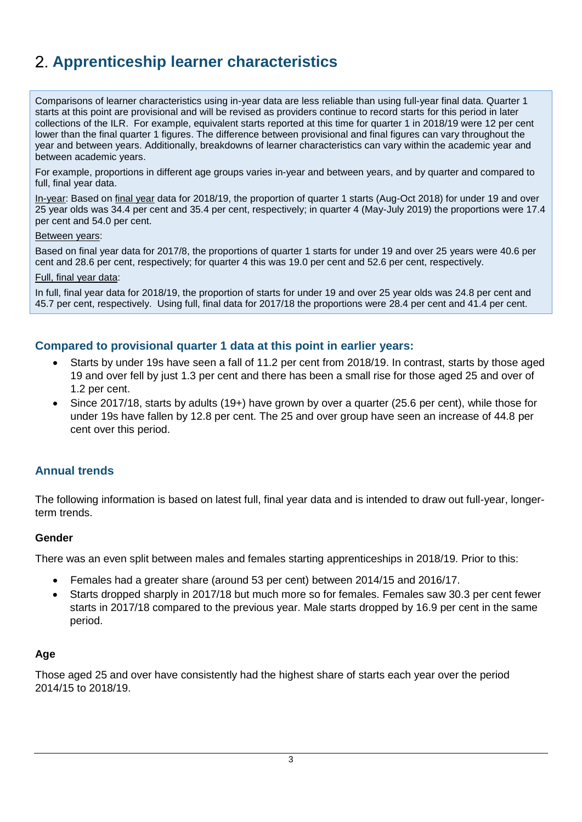# **Apprenticeship learner characteristics**

Comparisons of learner characteristics using in-year data are less reliable than using full-year final data. Quarter 1 starts at this point are provisional and will be revised as providers continue to record starts for this period in later collections of the ILR. For example, equivalent starts reported at this time for quarter 1 in 2018/19 were 12 per cent lower than the final quarter 1 figures. The difference between provisional and final figures can vary throughout the year and between years. Additionally, breakdowns of learner characteristics can vary within the academic year and between academic years.

For example, proportions in different age groups varies in-year and between years, and by quarter and compared to full, final year data.

In-year: Based on final year data for 2018/19, the proportion of quarter 1 starts (Aug-Oct 2018) for under 19 and over 25 year olds was 34.4 per cent and 35.4 per cent, respectively; in quarter 4 (May-July 2019) the proportions were 17.4 per cent and 54.0 per cent.

#### Between years:

Based on final year data for 2017/8, the proportions of quarter 1 starts for under 19 and over 25 years were 40.6 per cent and 28.6 per cent, respectively; for quarter 4 this was 19.0 per cent and 52.6 per cent, respectively.

#### Full, final year data:

In full, final year data for 2018/19, the proportion of starts for under 19 and over 25 year olds was 24.8 per cent and 45.7 per cent, respectively. Using full, final data for 2017/18 the proportions were 28.4 per cent and 41.4 per cent.

## **Compared to provisional quarter 1 data at this point in earlier years:**

- Starts by under 19s have seen a fall of 11.2 per cent from 2018/19. In contrast, starts by those aged 19 and over fell by just 1.3 per cent and there has been a small rise for those aged 25 and over of 1.2 per cent.
- Since 2017/18, starts by adults (19+) have grown by over a quarter (25.6 per cent), while those for under 19s have fallen by 12.8 per cent. The 25 and over group have seen an increase of 44.8 per cent over this period.

## **Annual trends**

The following information is based on latest full, final year data and is intended to draw out full-year, longerterm trends.

#### **Gender**

There was an even split between males and females starting apprenticeships in 2018/19. Prior to this:

- Females had a greater share (around 53 per cent) between 2014/15 and 2016/17.
- Starts dropped sharply in 2017/18 but much more so for females. Females saw 30.3 per cent fewer starts in 2017/18 compared to the previous year. Male starts dropped by 16.9 per cent in the same period.

#### **Age**

Those aged 25 and over have consistently had the highest share of starts each year over the period 2014/15 to 2018/19.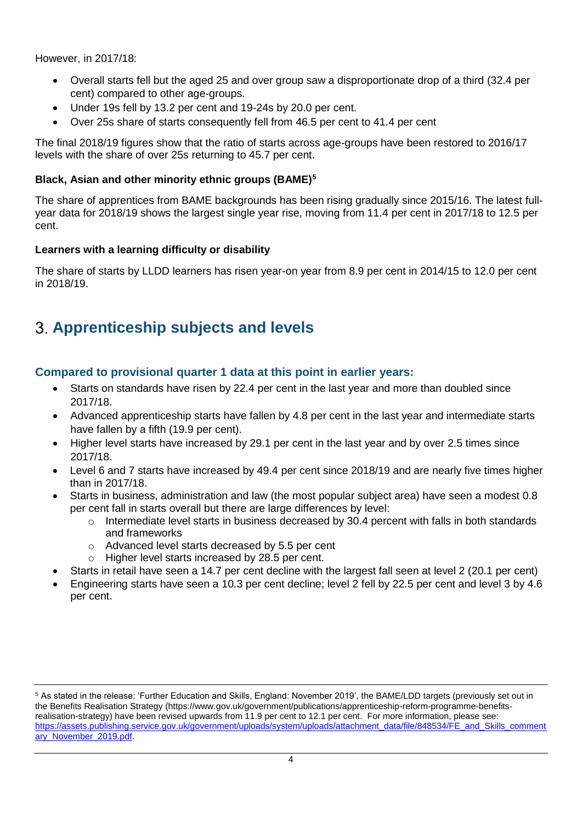However, in 2017/18:

- Overall starts fell but the aged 25 and over group saw a disproportionate drop of a third (32.4 per cent) compared to other age-groups.
- Under 19s fell by 13.2 per cent and 19-24s by 20.0 per cent.
- Over 25s share of starts consequently fell from 46.5 per cent to 41.4 per cent

The final 2018/19 figures show that the ratio of starts across age-groups have been restored to 2016/17 levels with the share of over 25s returning to 45.7 per cent.

## **Black, Asian and other minority ethnic groups (BAME)<sup>5</sup>**

The share of apprentices from BAME backgrounds has been rising gradually since 2015/16. The latest fullyear data for 2018/19 shows the largest single year rise, moving from 11.4 per cent in 2017/18 to 12.5 per cent.

## **Learners with a learning difficulty or disability**

The share of starts by LLDD learners has risen year-on year from 8.9 per cent in 2014/15 to 12.0 per cent in 2018/19.

# **Apprenticeship subjects and levels**

## **Compared to provisional quarter 1 data at this point in earlier years:**

- Starts on standards have risen by 22.4 per cent in the last year and more than doubled since 2017/18.
- Advanced apprenticeship starts have fallen by 4.8 per cent in the last year and intermediate starts have fallen by a fifth (19.9 per cent).
- Higher level starts have increased by 29.1 per cent in the last year and by over 2.5 times since 2017/18.
- Level 6 and 7 starts have increased by 49.4 per cent since 2018/19 and are nearly five times higher than in 2017/18.
- Starts in business, administration and law (the most popular subject area) have seen a modest 0.8 per cent fall in starts overall but there are large differences by level:
	- $\circ$  Intermediate level starts in business decreased by 30.4 percent with falls in both standards and frameworks
	- o Advanced level starts decreased by 5.5 per cent
	- o Higher level starts increased by 28.5 per cent.
- Starts in retail have seen a 14.7 per cent decline with the largest fall seen at level 2 (20.1 per cent)
- Engineering starts have seen a 10.3 per cent decline; level 2 fell by 22.5 per cent and level 3 by 4.6 per cent.

<sup>5</sup> As stated in the release: 'Further Education and Skills, England: November 2019', the BAME/LDD targets (previously set out in the Benefits Realisation Strategy (https://www.gov.uk/government/publications/apprenticeship-reform-programme-benefitsrealisation-strategy) have been revised upwards from 11.9 per cent to 12.1 per cent. For more information, please see: [https://assets.publishing.service.gov.uk/government/uploads/system/uploads/attachment\\_data/file/848534/FE\\_and\\_Skills\\_comment](https://assets.publishing.service.gov.uk/government/uploads/system/uploads/attachment_data/file/848534/FE_and_Skills_commentary_November_2019.pdf) [ary\\_November\\_2019.pdf.](https://assets.publishing.service.gov.uk/government/uploads/system/uploads/attachment_data/file/848534/FE_and_Skills_commentary_November_2019.pdf)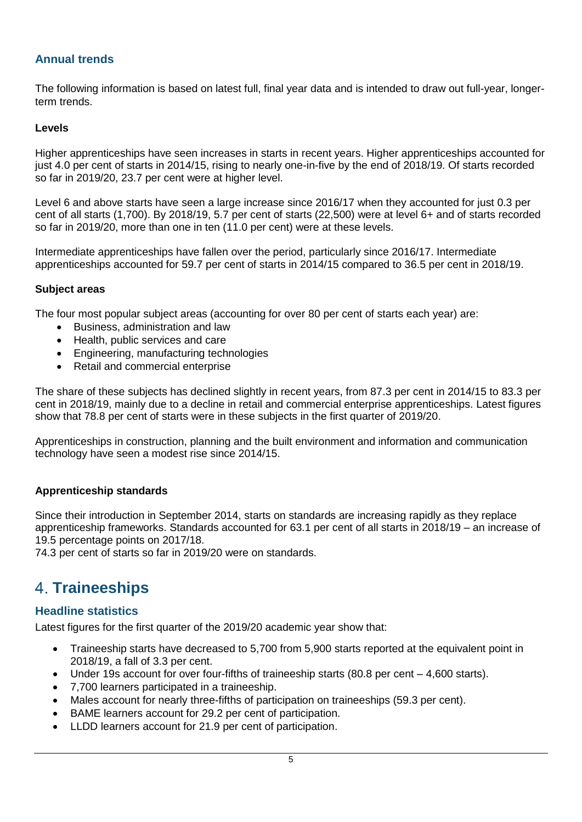## **Annual trends**

The following information is based on latest full, final year data and is intended to draw out full-year, longerterm trends.

#### **Levels**

Higher apprenticeships have seen increases in starts in recent years. Higher apprenticeships accounted for just 4.0 per cent of starts in 2014/15, rising to nearly one-in-five by the end of 2018/19. Of starts recorded so far in 2019/20, 23.7 per cent were at higher level.

Level 6 and above starts have seen a large increase since 2016/17 when they accounted for just 0.3 per cent of all starts (1,700). By 2018/19, 5.7 per cent of starts (22,500) were at level 6+ and of starts recorded so far in 2019/20, more than one in ten (11.0 per cent) were at these levels.

Intermediate apprenticeships have fallen over the period, particularly since 2016/17. Intermediate apprenticeships accounted for 59.7 per cent of starts in 2014/15 compared to 36.5 per cent in 2018/19.

#### **Subject areas**

The four most popular subject areas (accounting for over 80 per cent of starts each year) are:

- Business, administration and law
- Health, public services and care
- Engineering, manufacturing technologies
- Retail and commercial enterprise

The share of these subjects has declined slightly in recent years, from 87.3 per cent in 2014/15 to 83.3 per cent in 2018/19, mainly due to a decline in retail and commercial enterprise apprenticeships. Latest figures show that 78.8 per cent of starts were in these subjects in the first quarter of 2019/20.

Apprenticeships in construction, planning and the built environment and information and communication technology have seen a modest rise since 2014/15.

## **Apprenticeship standards**

Since their introduction in September 2014, starts on standards are increasing rapidly as they replace apprenticeship frameworks. Standards accounted for 63.1 per cent of all starts in 2018/19 – an increase of 19.5 percentage points on 2017/18.

74.3 per cent of starts so far in 2019/20 were on standards.

## **4. Traineeships**

## **Headline statistics**

Latest figures for the first quarter of the 2019/20 academic year show that:

- Traineeship starts have decreased to 5,700 from 5,900 starts reported at the equivalent point in 2018/19, a fall of 3.3 per cent.
- Under 19s account for over four-fifths of traineeship starts (80.8 per cent 4,600 starts).
- 7,700 learners participated in a traineeship.
- Males account for nearly three-fifths of participation on traineeships (59.3 per cent).
- BAME learners account for 29.2 per cent of participation.
- LLDD learners account for 21.9 per cent of participation.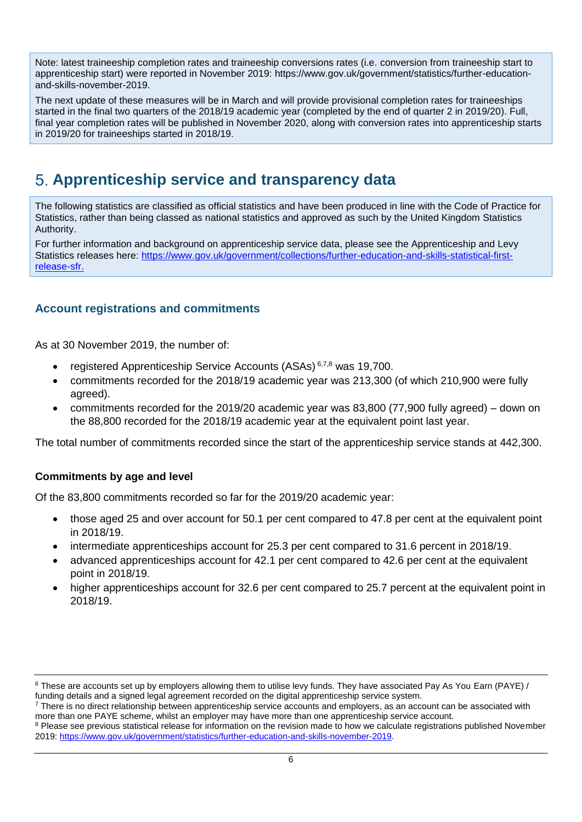Note: latest traineeship completion rates and traineeship conversions rates (i.e. conversion from traineeship start to apprenticeship start) were reported in November 2019: [https://www.gov.uk/government/statistics/further-education](https://www.gov.uk/government/statistics/further-education-and-skills-november-2019)[and-skills-november-2019.](https://www.gov.uk/government/statistics/further-education-and-skills-november-2019)

The next update of these measures will be in March and will provide provisional completion rates for traineeships started in the final two quarters of the 2018/19 academic year (completed by the end of quarter 2 in 2019/20). Full, final year completion rates will be published in November 2020, along with conversion rates into apprenticeship starts in 2019/20 for traineeships started in 2018/19.

# **Apprenticeship service and transparency data**

The following statistics are classified as official statistics and have been produced in line with the Code of Practice for Statistics, rather than being classed as national statistics and approved as such by the United Kingdom Statistics Authority.

For further information and background on apprenticeship service data, please see the Apprenticeship and Levy Statistics releases here: [https://www.gov.uk/government/collections/further-education-and-skills-statistical-first](https://www.gov.uk/government/collections/further-education-and-skills-statistical-first-release-sfr)[release-sfr.](https://www.gov.uk/government/collections/further-education-and-skills-statistical-first-release-sfr)

## **Account registrations and commitments**

As at 30 November 2019, the number of:

- registered Apprenticeship Service Accounts (ASAs) 6,7,8 was 19,700.
- commitments recorded for the 2018/19 academic year was 213,300 (of which 210,900 were fully agreed).
- commitments recorded for the 2019/20 academic year was 83,800 (77,900 fully agreed) down on the 88,800 recorded for the 2018/19 academic year at the equivalent point last year.

The total number of commitments recorded since the start of the apprenticeship service stands at 442,300.

## **Commitments by age and level**

Of the 83,800 commitments recorded so far for the 2019/20 academic year:

- those aged 25 and over account for 50.1 per cent compared to 47.8 per cent at the equivalent point in 2018/19.
- intermediate apprenticeships account for 25.3 per cent compared to 31.6 percent in 2018/19.
- advanced apprenticeships account for 42.1 per cent compared to 42.6 per cent at the equivalent point in 2018/19.
- higher apprenticeships account for 32.6 per cent compared to 25.7 percent at the equivalent point in 2018/19.

<sup>&</sup>lt;sup>6</sup> These are accounts set up by employers allowing them to utilise levy funds. They have associated Pay As You Earn (PAYE) / funding details and a signed legal agreement recorded on the digital apprenticeship service system.

<sup>&</sup>lt;sup>7</sup> There is no direct relationship between apprenticeship service accounts and employers, as an account can be associated with more than one PAYE scheme, whilst an employer may have more than one apprenticeship service account.

<sup>&</sup>lt;sup>8</sup> Please see previous statistical release for information on the revision made to how we calculate registrations published November 2019: [https://www.gov.uk/government/statistics/further-education-and-skills-november-2019.](https://www.gov.uk/government/statistics/further-education-and-skills-november-2019)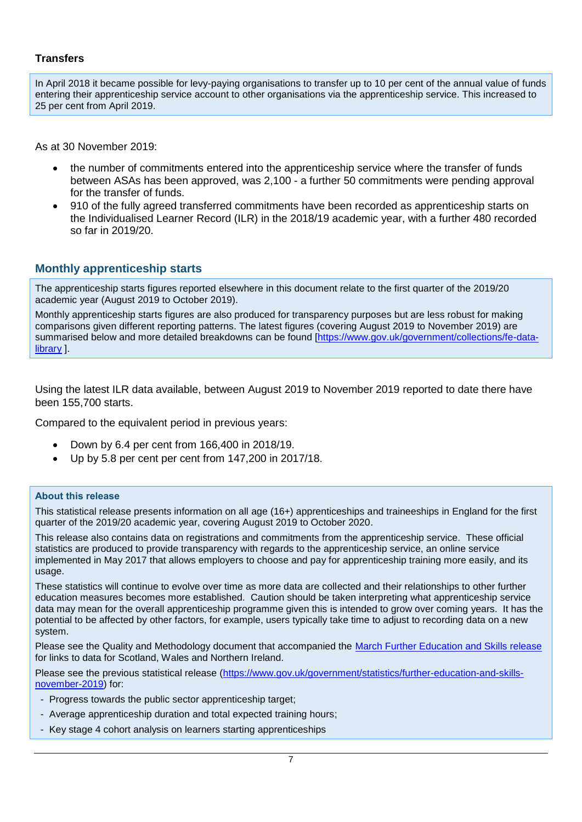#### **Transfers**

In April 2018 it became possible for levy-paying organisations to transfer up to 10 per cent of the annual value of funds entering their apprenticeship service account to other organisations via the apprenticeship service. This increased to 25 per cent from April 2019.

As at 30 November 2019:

- the number of commitments entered into the apprenticeship service where the transfer of funds between ASAs has been approved, was 2,100 - a further 50 commitments were pending approval for the transfer of funds.
- 910 of the fully agreed transferred commitments have been recorded as apprenticeship starts on the Individualised Learner Record (ILR) in the 2018/19 academic year, with a further 480 recorded so far in 2019/20.

#### **Monthly apprenticeship starts**

The apprenticeship starts figures reported elsewhere in this document relate to the first quarter of the 2019/20 academic year (August 2019 to October 2019).

Monthly apprenticeship starts figures are also produced for transparency purposes but are less robust for making comparisons given different reporting patterns. The latest figures (covering August 2019 to November 2019) are summarised below and more detailed breakdowns can be found [\[https://www.gov.uk/government/collections/fe-data](https://www.gov.uk/government/collections/fe-data-library)[library](https://www.gov.uk/government/collections/fe-data-library) ].

Using the latest ILR data available, between August 2019 to November 2019 reported to date there have been 155,700 starts.

Compared to the equivalent period in previous years:

- Down by 6.4 per cent from 166,400 in 2018/19.
- Up by 5.8 per cent per cent from 147,200 in 2017/18.

#### **About this release**

This statistical release presents information on all age (16+) apprenticeships and traineeships in England for the first quarter of the 2019/20 academic year, covering August 2019 to October 2020.

This release also contains data on registrations and commitments from the apprenticeship service. These official statistics are produced to provide transparency with regards to the apprenticeship service, an online service implemented in May 2017 that allows employers to choose and pay for apprenticeship training more easily, and its usage.

These statistics will continue to evolve over time as more data are collected and their relationships to other further education measures becomes more established. Caution should be taken interpreting what apprenticeship service data may mean for the overall apprenticeship programme given this is intended to grow over coming years. It has the potential to be affected by other factors, for example, users typically take time to adjust to recording data on a new system.

Please see the Quality and Methodology document that accompanied the [March Further Education and Skills release](https://www.gov.uk/government/statistics/further-education-and-skills-march-2019) for links to data for Scotland, Wales and Northern Ireland.

Please see the previous statistical release [\(https://www.gov.uk/government/statistics/further-education-and-skills](https://www.gov.uk/government/statistics/further-education-and-skills-november-2019)[november-2019\)](https://www.gov.uk/government/statistics/further-education-and-skills-november-2019) for:

- Progress towards the public sector apprenticeship target;
- Average apprenticeship duration and total expected training hours;
- Key stage 4 cohort analysis on learners starting apprenticeships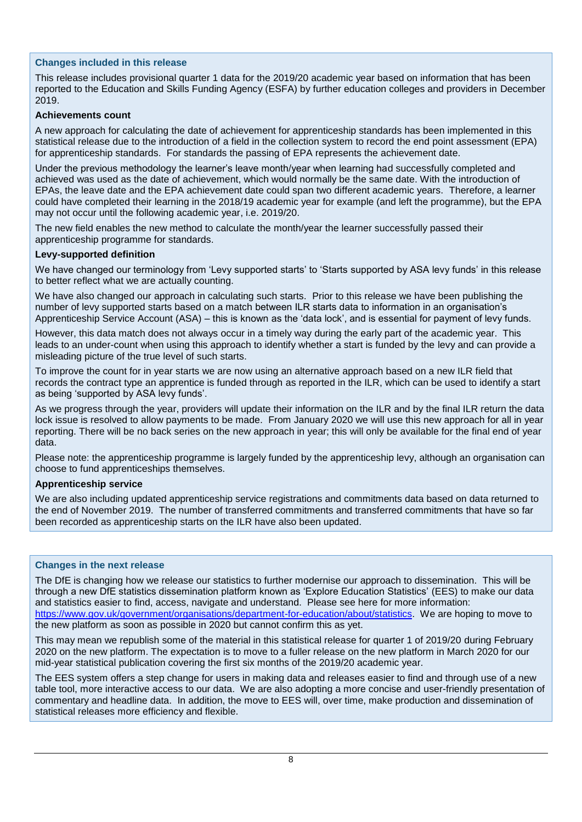#### **Changes included in this release**

This release includes provisional quarter 1 data for the 2019/20 academic year based on information that has been reported to the Education and Skills Funding Agency (ESFA) by further education colleges and providers in December 2019.

#### **Achievements count**

A new approach for calculating the date of achievement for apprenticeship standards has been implemented in this statistical release due to the introduction of a field in the collection system to record the end point assessment (EPA) for apprenticeship standards. For standards the passing of EPA represents the achievement date.

Under the previous methodology the learner's leave month/year when learning had successfully completed and achieved was used as the date of achievement, which would normally be the same date. With the introduction of EPAs, the leave date and the EPA achievement date could span two different academic years. Therefore, a learner could have completed their learning in the 2018/19 academic year for example (and left the programme), but the EPA may not occur until the following academic year, i.e. 2019/20.

The new field enables the new method to calculate the month/year the learner successfully passed their apprenticeship programme for standards.

#### **Levy-supported definition**

We have changed our terminology from 'Levy supported starts' to 'Starts supported by ASA levy funds' in this release to better reflect what we are actually counting.

We have also changed our approach in calculating such starts. Prior to this release we have been publishing the number of levy supported starts based on a match between ILR starts data to information in an organisation's Apprenticeship Service Account (ASA) – this is known as the 'data lock', and is essential for payment of levy funds.

However, this data match does not always occur in a timely way during the early part of the academic year. This leads to an under-count when using this approach to identify whether a start is funded by the levy and can provide a misleading picture of the true level of such starts.

To improve the count for in year starts we are now using an alternative approach based on a new ILR field that records the contract type an apprentice is funded through as reported in the ILR, which can be used to identify a start as being 'supported by ASA levy funds'.

As we progress through the year, providers will update their information on the ILR and by the final ILR return the data lock issue is resolved to allow payments to be made. From January 2020 we will use this new approach for all in year reporting. There will be no back series on the new approach in year; this will only be available for the final end of year data.

Please note: the apprenticeship programme is largely funded by the apprenticeship levy, although an organisation can choose to fund apprenticeships themselves.

#### **Apprenticeship service**

We are also including updated apprenticeship service registrations and commitments data based on data returned to the end of November 2019. The number of transferred commitments and transferred commitments that have so far been recorded as apprenticeship starts on the ILR have also been updated.

#### **Changes in the next release**

The DfE is changing how we release our statistics to further modernise our approach to dissemination. This will be through a new DfE statistics dissemination platform known as 'Explore Education Statistics' (EES) to make our data and statistics easier to find, access, navigate and understand. Please see here for more information: [https://www.gov.uk/government/organisations/department-for-education/about/statistics.](https://www.gov.uk/government/organisations/department-for-education/about/statistics) We are hoping to move to

the new platform as soon as possible in 2020 but cannot confirm this as yet.

This may mean we republish some of the material in this statistical release for quarter 1 of 2019/20 during February 2020 on the new platform. The expectation is to move to a fuller release on the new platform in March 2020 for our mid-year statistical publication covering the first six months of the 2019/20 academic year.

The EES system offers a step change for users in making data and releases easier to find and through use of a new table tool, more interactive access to our data. We are also adopting a more concise and user-friendly presentation of commentary and headline data. In addition, the move to EES will, over time, make production and dissemination of statistical releases more efficiency and flexible.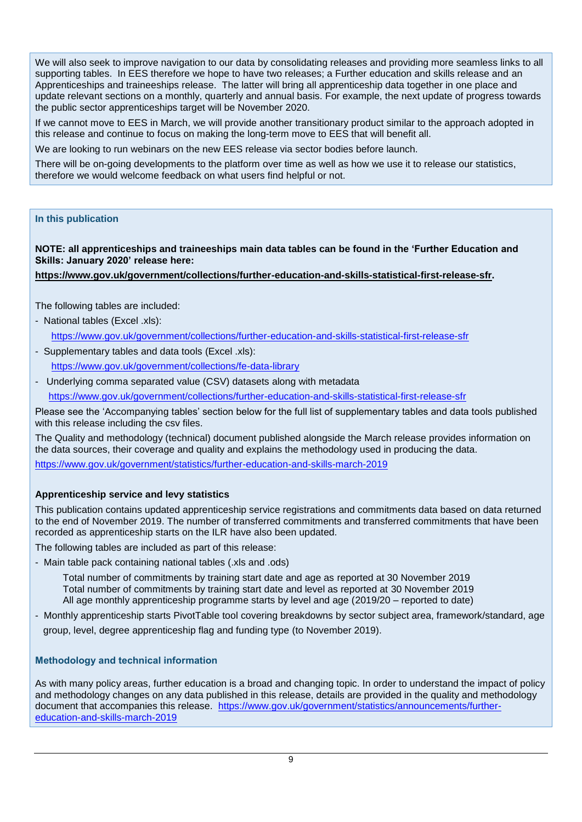We will also seek to improve navigation to our data by consolidating releases and providing more seamless links to all supporting tables. In EES therefore we hope to have two releases; a Further education and skills release and an Apprenticeships and traineeships release. The latter will bring all apprenticeship data together in one place and update relevant sections on a monthly, quarterly and annual basis. For example, the next update of progress towards the public sector apprenticeships target will be November 2020.

If we cannot move to EES in March, we will provide another transitionary product similar to the approach adopted in this release and continue to focus on making the long-term move to EES that will benefit all.

We are looking to run webinars on the new EES release via sector bodies before launch.

There will be on-going developments to the platform over time as well as how we use it to release our statistics, therefore we would welcome feedback on what users find helpful or not.

#### **In this publication**

**NOTE: all apprenticeships and traineeships main data tables can be found in the 'Further Education and Skills: January 2020' release here:** 

**[https://www.gov.uk/government/collections/further-education-and-skills-statistical-first-release-sfr.](https://www.gov.uk/government/collections/further-education-and-skills-statistical-first-release-sfr)**

The following tables are included:

- National tables (Excel .xls):

<https://www.gov.uk/government/collections/further-education-and-skills-statistical-first-release-sfr>

- Supplementary tables and data tools (Excel .xls): <https://www.gov.uk/government/collections/fe-data-library>
- Underlying comma separated value (CSV) datasets along with metadata <https://www.gov.uk/government/collections/further-education-and-skills-statistical-first-release-sfr>

Please see the 'Accompanying tables' section below for the full list of supplementary tables and data tools published with this release including the csv files.

The Quality and methodology (technical) document published alongside the March release provides information on the data sources, their coverage and quality and explains the methodology used in producing the data. <https://www.gov.uk/government/statistics/further-education-and-skills-march-2019>

#### **Apprenticeship service and levy statistics**

This publication contains updated apprenticeship service registrations and commitments data based on data returned to the end of November 2019. The number of transferred commitments and transferred commitments that have been recorded as apprenticeship starts on the ILR have also been updated.

The following tables are included as part of this release:

- Main table pack containing national tables (.xls and .ods)

Total number of commitments by training start date and age as reported at 30 November 2019 Total number of commitments by training start date and level as reported at 30 November 2019 All age monthly apprenticeship programme starts by level and age (2019/20 – reported to date)

- Monthly apprenticeship starts PivotTable tool covering breakdowns by sector subject area, framework/standard, age

group, level, degree apprenticeship flag and funding type (to November 2019).

#### **Methodology and technical information**

As with many policy areas, further education is a broad and changing topic. In order to understand the impact of policy and methodology changes on any data published in this release, details are provided in the quality and methodology document that accompanies this release. [https://www.gov.uk/government/statistics/announcements/further](https://www.gov.uk/government/statistics/announcements/further-education-and-skills-march-2019)[education-and-skills-march-2019](https://www.gov.uk/government/statistics/announcements/further-education-and-skills-march-2019)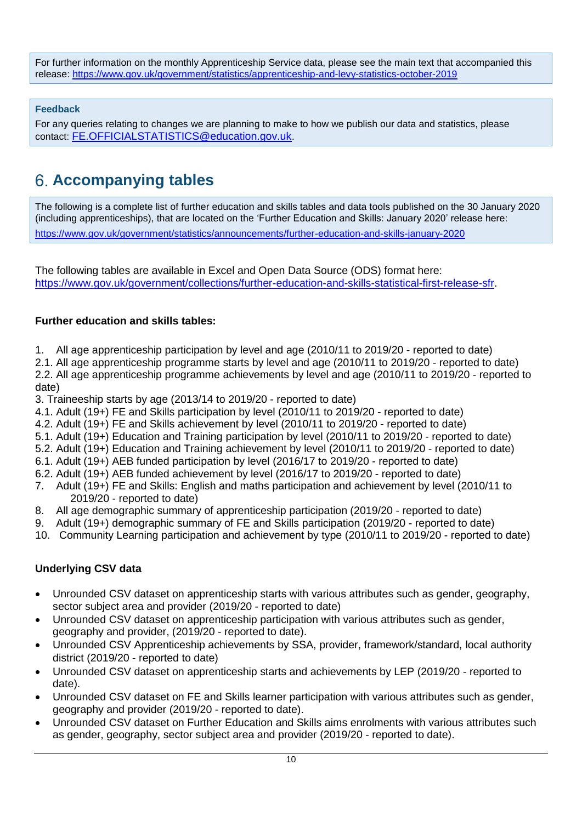For further information on the monthly Apprenticeship Service data, please see the main text that accompanied this release:<https://www.gov.uk/government/statistics/apprenticeship-and-levy-statistics-october-2019>

**Feedback**

For any queries relating to changes we are planning to make to how we publish our data and statistics, please contact: [FE.OFFICIALSTATISTICS@education.gov.uk](mailto:FE.OFFICIALSTATISTICS@education.gov.uk).

# **Accompanying tables**

The following is a complete list of further education and skills tables and data tools published on the 30 January 2020 (including apprenticeships), that are located on the 'Further Education and Skills: January 2020' release here: <https://www.gov.uk/government/statistics/announcements/further-education-and-skills-january-2020>

The following tables are available in Excel and Open Data Source (ODS) format here: [https://www.gov.uk/government/collections/further-education-and-skills-statistical-first-release-sfr.](https://www.gov.uk/government/collections/further-education-and-skills-statistical-first-release-sfr)

## **Further education and skills tables:**

1. All age apprenticeship participation by level and age (2010/11 to 2019/20 - reported to date)

2.1. All age apprenticeship programme starts by level and age (2010/11 to 2019/20 - reported to date) 2.2. All age apprenticeship programme achievements by level and age (2010/11 to 2019/20 - reported to date)

3. Traineeship starts by age (2013/14 to 2019/20 - reported to date)

- 4.1. Adult (19+) FE and Skills participation by level (2010/11 to 2019/20 reported to date)
- 4.2. Adult (19+) FE and Skills achievement by level (2010/11 to 2019/20 reported to date)
- 5.1. Adult (19+) Education and Training participation by level (2010/11 to 2019/20 reported to date)
- 5.2. Adult (19+) Education and Training achievement by level (2010/11 to 2019/20 reported to date)
- 6.1. Adult (19+) AEB funded participation by level (2016/17 to 2019/20 reported to date)
- 6.2. Adult (19+) AEB funded achievement by level (2016/17 to 2019/20 reported to date)
- 7. Adult (19+) FE and Skills: English and maths participation and achievement by level (2010/11 to 2019/20 - reported to date)
- 8. All age demographic summary of apprenticeship participation (2019/20 reported to date)
- 9. Adult (19+) demographic summary of FE and Skills participation (2019/20 reported to date)
- 10. Community Learning participation and achievement by type (2010/11 to 2019/20 reported to date)

## **Underlying CSV data**

- Unrounded CSV dataset on apprenticeship starts with various attributes such as gender, geography, sector subject area and provider (2019/20 - reported to date)
- Unrounded CSV dataset on apprenticeship participation with various attributes such as gender, geography and provider, (2019/20 - reported to date).
- Unrounded CSV Apprenticeship achievements by SSA, provider, framework/standard, local authority district (2019/20 - reported to date)
- Unrounded CSV dataset on apprenticeship starts and achievements by LEP (2019/20 reported to date).
- Unrounded CSV dataset on FE and Skills learner participation with various attributes such as gender, geography and provider (2019/20 - reported to date).
- Unrounded CSV dataset on Further Education and Skills aims enrolments with various attributes such as gender, geography, sector subject area and provider (2019/20 - reported to date).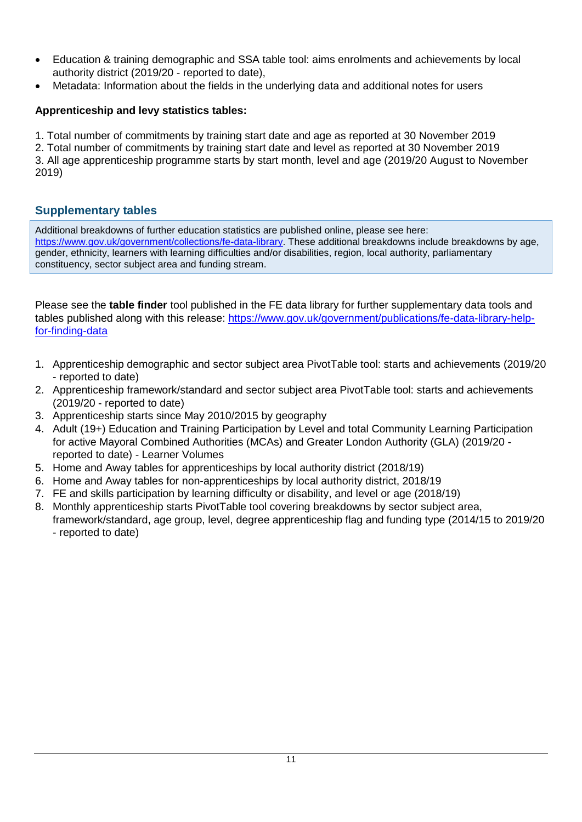- Education & training demographic and SSA table tool: aims enrolments and achievements by local authority district (2019/20 - reported to date),
- Metadata: Information about the fields in the underlying data and additional notes for users

## **Apprenticeship and levy statistics tables:**

1. Total number of commitments by training start date and age as reported at 30 November 2019

2. Total number of commitments by training start date and level as reported at 30 November 2019 3. All age apprenticeship programme starts by start month, level and age (2019/20 August to November 2019)

## **Supplementary tables**

Additional breakdowns of further education statistics are published online, please see here: [https://www.gov.uk/government/collections/fe-data-library.](https://www.gov.uk/government/collections/fe-data-library) These additional breakdowns include breakdowns by age, gender, ethnicity, learners with learning difficulties and/or disabilities, region, local authority, parliamentary constituency, sector subject area and funding stream.

Please see the **table finder** tool published in the FE data library for further supplementary data tools and tables published along with this release: [https://www.gov.uk/government/publications/fe-data-library-help](https://www.gov.uk/government/publications/fe-data-library-help-for-finding-data)[for-finding-data](https://www.gov.uk/government/publications/fe-data-library-help-for-finding-data)

- 1. Apprenticeship demographic and sector subject area PivotTable tool: starts and achievements (2019/20 - reported to date)
- 2. Apprenticeship framework/standard and sector subject area PivotTable tool: starts and achievements (2019/20 - reported to date)
- 3. Apprenticeship starts since May 2010/2015 by geography
- 4. Adult (19+) Education and Training Participation by Level and total Community Learning Participation for active Mayoral Combined Authorities (MCAs) and Greater London Authority (GLA) (2019/20 reported to date) - Learner Volumes
- 5. Home and Away tables for apprenticeships by local authority district (2018/19)
- 6. Home and Away tables for non-apprenticeships by local authority district, 2018/19
- 7. FE and skills participation by learning difficulty or disability, and level or age (2018/19)
- 8. Monthly apprenticeship starts PivotTable tool covering breakdowns by sector subject area, framework/standard, age group, level, degree apprenticeship flag and funding type (2014/15 to 2019/20 - reported to date)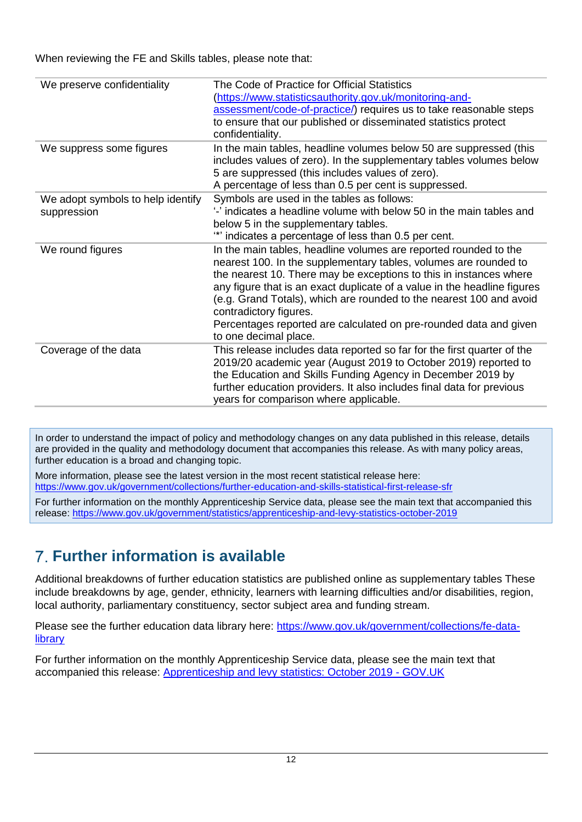When reviewing the FE and Skills tables, please note that:

| We preserve confidentiality                      | The Code of Practice for Official Statistics<br>(https://www.statisticsauthority.gov.uk/monitoring-and-<br>assessment/code-of-practice/) requires us to take reasonable steps<br>to ensure that our published or disseminated statistics protect<br>confidentiality.                                                                                                                                                                                                                  |
|--------------------------------------------------|---------------------------------------------------------------------------------------------------------------------------------------------------------------------------------------------------------------------------------------------------------------------------------------------------------------------------------------------------------------------------------------------------------------------------------------------------------------------------------------|
| We suppress some figures                         | In the main tables, headline volumes below 50 are suppressed (this<br>includes values of zero). In the supplementary tables volumes below<br>5 are suppressed (this includes values of zero).<br>A percentage of less than 0.5 per cent is suppressed.                                                                                                                                                                                                                                |
| We adopt symbols to help identify<br>suppression | Symbols are used in the tables as follows:<br>'-' indicates a headline volume with below 50 in the main tables and<br>below 5 in the supplementary tables.<br>"" indicates a percentage of less than 0.5 per cent.                                                                                                                                                                                                                                                                    |
| We round figures                                 | In the main tables, headline volumes are reported rounded to the<br>nearest 100. In the supplementary tables, volumes are rounded to<br>the nearest 10. There may be exceptions to this in instances where<br>any figure that is an exact duplicate of a value in the headline figures<br>(e.g. Grand Totals), which are rounded to the nearest 100 and avoid<br>contradictory figures.<br>Percentages reported are calculated on pre-rounded data and given<br>to one decimal place. |
| Coverage of the data                             | This release includes data reported so far for the first quarter of the<br>2019/20 academic year (August 2019 to October 2019) reported to<br>the Education and Skills Funding Agency in December 2019 by<br>further education providers. It also includes final data for previous<br>years for comparison where applicable.                                                                                                                                                          |

In order to understand the impact of policy and methodology changes on any data published in this release, details are provided in the quality and methodology document that accompanies this release. As with many policy areas, further education is a broad and changing topic.

More information, please see the latest version in the most recent statistical release here:

<https://www.gov.uk/government/collections/further-education-and-skills-statistical-first-release-sfr>

For further information on the monthly Apprenticeship Service data, please see the main text that accompanied this release:<https://www.gov.uk/government/statistics/apprenticeship-and-levy-statistics-october-2019>

# **Further information is available**

Additional breakdowns of further education statistics are published online as supplementary tables These include breakdowns by age, gender, ethnicity, learners with learning difficulties and/or disabilities, region, local authority, parliamentary constituency, sector subject area and funding stream.

Please see the further education data library here: [https://www.gov.uk/government/collections/fe-data](https://www.gov.uk/government/collections/fe-data-library)[library](https://www.gov.uk/government/collections/fe-data-library)

For further information on the monthly Apprenticeship Service data, please see the main text that accompanied this release: [Apprenticeship and levy statistics: October 2019 -](https://www.gov.uk/government/statistics/apprenticeship-and-levy-statistics-october-2019) GOV.UK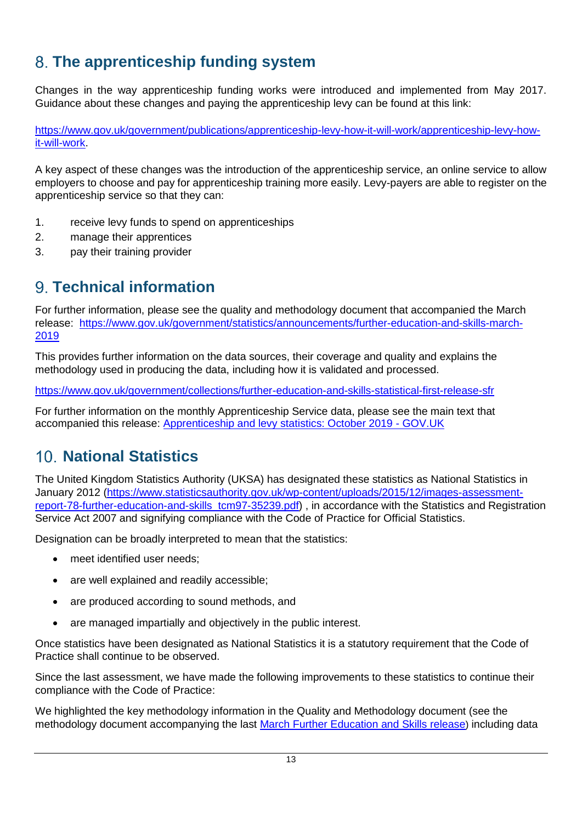# **The apprenticeship funding system**

Changes in the way apprenticeship funding works were introduced and implemented from May 2017. Guidance about these changes and paying the apprenticeship levy can be found at this link:

[https://www.gov.uk/government/publications/apprenticeship-levy-how-it-will-work/apprenticeship-levy-how](https://www.gov.uk/government/publications/apprenticeship-levy-how-it-will-work/apprenticeship-levy-how-it-will-work)[it-will-work.](https://www.gov.uk/government/publications/apprenticeship-levy-how-it-will-work/apprenticeship-levy-how-it-will-work)

A key aspect of these changes was the introduction of the apprenticeship service, an online service to allow employers to choose and pay for apprenticeship training more easily. Levy-payers are able to register on the apprenticeship service so that they can:

- 1. receive levy funds to spend on apprenticeships
- 2. manage their apprentices
- 3. pay their training provider

# **Technical information**

For further information, please see the quality and methodology document that accompanied the March release: [https://www.gov.uk/government/statistics/announcements/further-education-and-skills-march-](https://www.gov.uk/government/statistics/announcements/further-education-and-skills-march-2019)[2019](https://www.gov.uk/government/statistics/announcements/further-education-and-skills-march-2019)

This provides further information on the data sources, their coverage and quality and explains the methodology used in producing the data, including how it is validated and processed.

<https://www.gov.uk/government/collections/further-education-and-skills-statistical-first-release-sfr>

For further information on the monthly Apprenticeship Service data, please see the main text that accompanied this release: [Apprenticeship and levy statistics: October 2019 -](https://www.gov.uk/government/statistics/apprenticeship-and-levy-statistics-october-2019) GOV.UK

# **National Statistics**

The United Kingdom Statistics Authority (UKSA) has designated these statistics as National Statistics in January 2012 [\(https://www.statisticsauthority.gov.uk/wp-content/uploads/2015/12/images-assessment](https://www.statisticsauthority.gov.uk/wp-content/uploads/2015/12/images-assessment-report-78-further-education-and-skills_tcm97-35239.pdf)[report-78-further-education-and-skills\\_tcm97-35239.pdf\)](https://www.statisticsauthority.gov.uk/wp-content/uploads/2015/12/images-assessment-report-78-further-education-and-skills_tcm97-35239.pdf), in accordance with the Statistics and Registration Service Act 2007 and signifying compliance with the Code of Practice for Official Statistics.

Designation can be broadly interpreted to mean that the statistics:

- meet identified user needs;
- are well explained and readily accessible;
- are produced according to sound methods, and
- are managed impartially and objectively in the public interest.

Once statistics have been designated as National Statistics it is a statutory requirement that the Code of Practice shall continue to be observed.

Since the last assessment, we have made the following improvements to these statistics to continue their compliance with the Code of Practice:

We highlighted the key methodology information in the Quality and Methodology document (see the methodology document accompanying the last [March Further Education and Skills release](https://www.gov.uk/government/statistics/further-education-and-skills-march-2019)) including data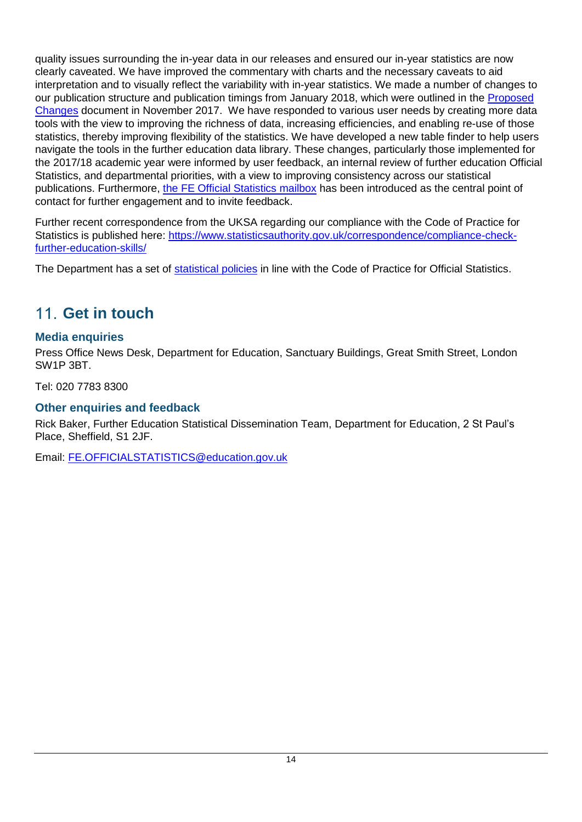quality issues surrounding the in-year data in our releases and ensured our in-year statistics are now clearly caveated. We have improved the commentary with charts and the necessary caveats to aid interpretation and to visually reflect the variability with in-year statistics. We made a number of changes to our publication structure and publication timings from January 2018, which were outlined in the [Proposed](https://assets.publishing.service.gov.uk/government/uploads/system/uploads/attachment_data/file/661130/Annex_further_education_and_skills_changes_November_2017.pdf)  [Changes](https://assets.publishing.service.gov.uk/government/uploads/system/uploads/attachment_data/file/661130/Annex_further_education_and_skills_changes_November_2017.pdf) document in November 2017. We have responded to various user needs by creating more data tools with the view to improving the richness of data, increasing efficiencies, and enabling re-use of those statistics, thereby improving flexibility of the statistics. We have developed a new table finder to help users navigate the tools in the further education data library. These changes, particularly those implemented for the 2017/18 academic year were informed by user feedback, an internal review of further education Official Statistics, and departmental priorities, with a view to improving consistency across our statistical publications. Furthermore, [the FE Official Statistics mailbox](mailto:FE.OFFICIALSTATISTICS@education.gov.uk) has been introduced as the central point of contact for further engagement and to invite feedback.

Further recent correspondence from the UKSA regarding our compliance with the Code of Practice for Statistics is published here: [https://www.statisticsauthority.gov.uk/correspondence/compliance-check](https://www.statisticsauthority.gov.uk/correspondence/compliance-check-further-education-skills/)[further-education-skills/](https://www.statisticsauthority.gov.uk/correspondence/compliance-check-further-education-skills/)

The Department has a set of [statistical policies](http://www.gov.uk/government/publications/standards-for-official-statistics-published-by-the-department-for-education) in line with the Code of Practice for Official Statistics.

# **Get in touch**

## **Media enquiries**

Press Office News Desk, Department for Education, Sanctuary Buildings, Great Smith Street, London SW1P 3BT.

Tel: 020 7783 8300

## **Other enquiries and feedback**

Rick Baker, Further Education Statistical Dissemination Team, Department for Education, 2 St Paul's Place, Sheffield, S1 2JF.

Email: [FE.OFFICIALSTATISTICS@education.gov.uk](mailto:FE.OFFICIALSTATISTICS@education.gov.uk)